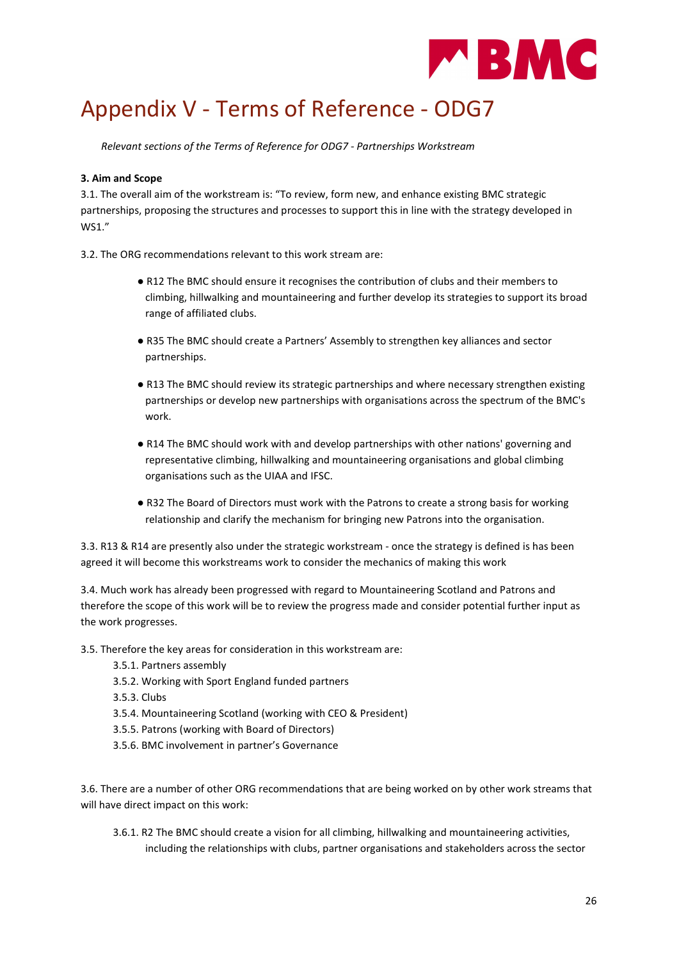

## Appendix V - Terms of Reference - ODG7

Relevant sections of the Terms of Reference for ODG7 - Partnerships Workstream

## 3. Aim and Scope

3.1. The overall aim of the workstream is: "To review, form new, and enhance existing BMC strategic partnerships, proposing the structures and processes to support this in line with the strategy developed in WS1."

3.2. The ORG recommendations relevant to this work stream are:

- R12 The BMC should ensure it recognises the contribution of clubs and their members to climbing, hillwalking and mountaineering and further develop its strategies to support its broad range of affiliated clubs.
- R35 The BMC should create a Partners' Assembly to strengthen key alliances and sector partnerships.
- R13 The BMC should review its strategic partnerships and where necessary strengthen existing partnerships or develop new partnerships with organisations across the spectrum of the BMC's work.
- R14 The BMC should work with and develop partnerships with other nations' governing and representative climbing, hillwalking and mountaineering organisations and global climbing organisations such as the UIAA and IFSC.
- R32 The Board of Directors must work with the Patrons to create a strong basis for working relationship and clarify the mechanism for bringing new Patrons into the organisation.

3.3. R13 & R14 are presently also under the strategic workstream - once the strategy is defined is has been agreed it will become this workstreams work to consider the mechanics of making this work

3.4. Much work has already been progressed with regard to Mountaineering Scotland and Patrons and therefore the scope of this work will be to review the progress made and consider potential further input as the work progresses.

3.5. Therefore the key areas for consideration in this workstream are:

- 3.5.1. Partners assembly
- 3.5.2. Working with Sport England funded partners
- 3.5.3. Clubs
- 3.5.4. Mountaineering Scotland (working with CEO & President)
- 3.5.5. Patrons (working with Board of Directors)
- 3.5.6. BMC involvement in partner's Governance

3.6. There are a number of other ORG recommendations that are being worked on by other work streams that will have direct impact on this work:

3.6.1. R2 The BMC should create a vision for all climbing, hillwalking and mountaineering activities, including the relationships with clubs, partner organisations and stakeholders across the sector